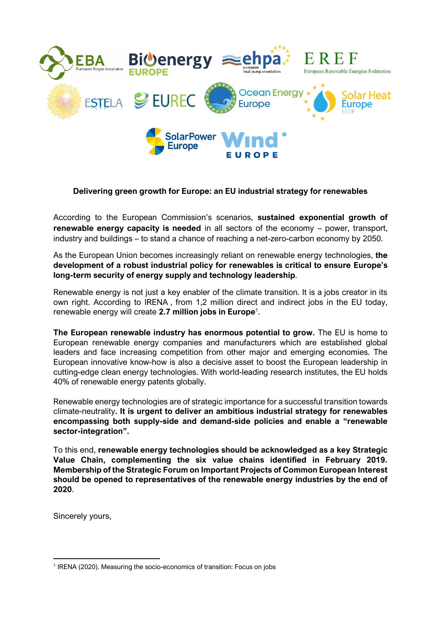

## **Delivering green growth for Europe: an EU industrial strategy for renewables**

According to the European Commission's scenarios, **sustained exponential growth of renewable energy capacity is needed** in all sectors of the economy – power, transport, industry and buildings – to stand a chance of reaching a net-zero-carbon economy by 2050.

As the European Union becomes increasingly reliant on renewable energy technologies, **the development of a robust industrial policy for renewables is critical to ensure Europe's long-term security of energy supply and technology leadership**.

Renewable energy is not just a key enabler of the climate transition. It is a jobs creator in its own right. According to IRENA , from 1,2 million direct and indirect jobs in the EU today, renewable energy will create **2.7 million jobs in Europe**<sup>1</sup> .

**The European renewable industry has enormous potential to grow.** The EU is home to European renewable energy companies and manufacturers which are established global leaders and face increasing competition from other major and emerging economies. The European innovative know-how is also a decisive asset to boost the European leadership in cutting-edge clean energy technologies. With world-leading research institutes, the EU holds 40% of renewable energy patents globally.

Renewable energy technologies are of strategic importance for a successful transition towards climate-neutrality**. It is urgent to deliver an ambitious industrial strategy for renewables encompassing both supply-side and demand-side policies and enable a "renewable sector-integration".**

To this end, **renewable energy technologies should be acknowledged as a key Strategic Value Chain, complementing the six value chains identified in February 2019. Membership of the Strategic Forum on Important Projects of Common European Interest should be opened to representatives of the renewable energy industries by the end of 2020**.

Sincerely yours,

<sup>&</sup>lt;sup>1</sup> IRENA (2020). Measuring the socio-economics of transition: Focus on jobs